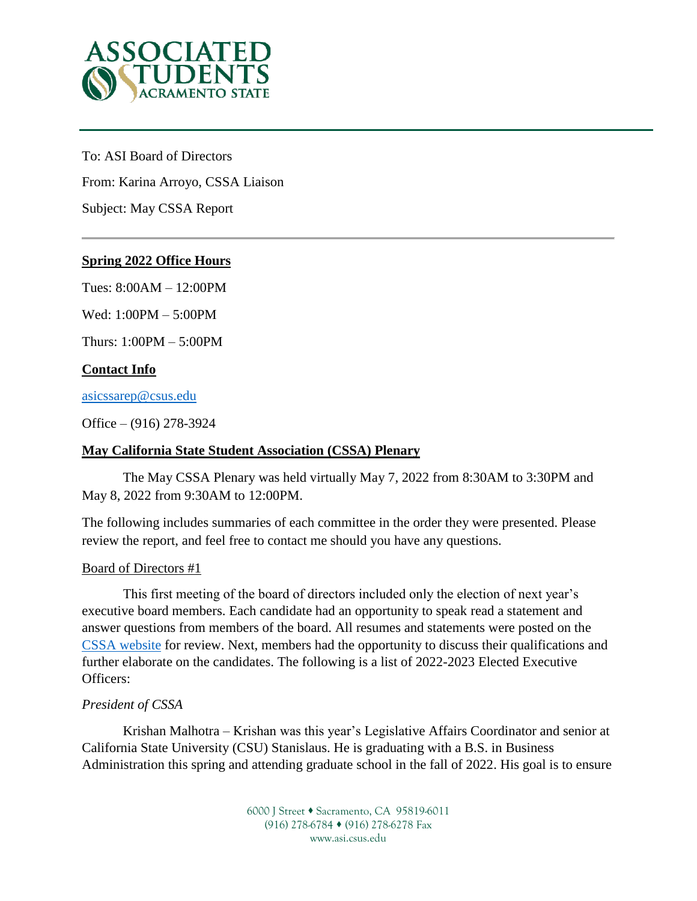

To: ASI Board of Directors From: Karina Arroyo, CSSA Liaison Subject: May CSSA Report

# **Spring 2022 Office Hours**

Tues: 8:00AM – 12:00PM

Wed: 1:00PM – 5:00PM

Thurs: 1:00PM – 5:00PM

# **Contact Info**

[asicssarep@csus.edu](mailto:asicssarep@csus.edu)

Office – (916) 278-3924

### **May California State Student Association (CSSA) Plenary**

The May CSSA Plenary was held virtually May 7, 2022 from 8:30AM to 3:30PM and May 8, 2022 from 9:30AM to 12:00PM.

The following includes summaries of each committee in the order they were presented. Please review the report, and feel free to contact me should you have any questions.

#### Board of Directors #1

This first meeting of the board of directors included only the election of next year's executive board members. Each candidate had an opportunity to speak read a statement and answer questions from members of the board. All resumes and statements were posted on the [CSSA website](https://calstatestudents.org/involvement/elections/) for review. Next, members had the opportunity to discuss their qualifications and further elaborate on the candidates. The following is a list of 2022-2023 Elected Executive Officers:

### *President of CSSA*

Krishan Malhotra – Krishan was this year's Legislative Affairs Coordinator and senior at California State University (CSU) Stanislaus. He is graduating with a B.S. in Business Administration this spring and attending graduate school in the fall of 2022. His goal is to ensure

> 6000 J Street • Sacramento, CA 95819-6011 (916) 278-6784 (916) 278-6278 Fax www.asi.csus.edu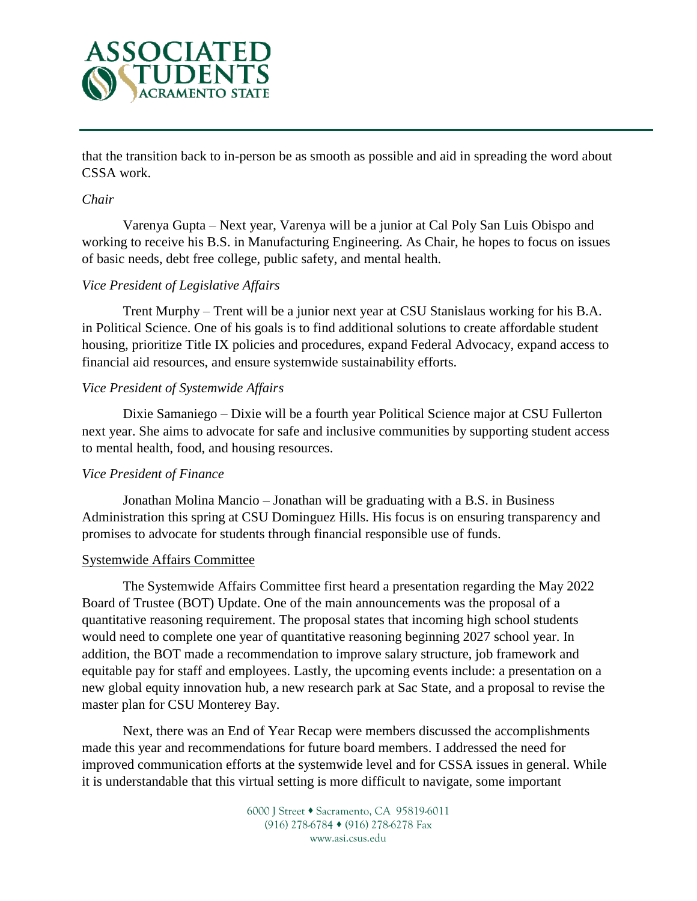

that the transition back to in-person be as smooth as possible and aid in spreading the word about CSSA work.

#### *Chair*

Varenya Gupta – Next year, Varenya will be a junior at Cal Poly San Luis Obispo and working to receive his B.S. in Manufacturing Engineering. As Chair, he hopes to focus on issues of basic needs, debt free college, public safety, and mental health.

### *Vice President of Legislative Affairs*

Trent Murphy – Trent will be a junior next year at CSU Stanislaus working for his B.A. in Political Science. One of his goals is to find additional solutions to create affordable student housing, prioritize Title IX policies and procedures, expand Federal Advocacy, expand access to financial aid resources, and ensure systemwide sustainability efforts.

### *Vice President of Systemwide Affairs*

Dixie Samaniego – Dixie will be a fourth year Political Science major at CSU Fullerton next year. She aims to advocate for safe and inclusive communities by supporting student access to mental health, food, and housing resources.

### *Vice President of Finance*

Jonathan Molina Mancio – Jonathan will be graduating with a B.S. in Business Administration this spring at CSU Dominguez Hills. His focus is on ensuring transparency and promises to advocate for students through financial responsible use of funds.

### Systemwide Affairs Committee

The Systemwide Affairs Committee first heard a presentation regarding the May 2022 Board of Trustee (BOT) Update. One of the main announcements was the proposal of a quantitative reasoning requirement. The proposal states that incoming high school students would need to complete one year of quantitative reasoning beginning 2027 school year. In addition, the BOT made a recommendation to improve salary structure, job framework and equitable pay for staff and employees. Lastly, the upcoming events include: a presentation on a new global equity innovation hub, a new research park at Sac State, and a proposal to revise the master plan for CSU Monterey Bay.

Next, there was an End of Year Recap were members discussed the accomplishments made this year and recommendations for future board members. I addressed the need for improved communication efforts at the systemwide level and for CSSA issues in general. While it is understandable that this virtual setting is more difficult to navigate, some important

> 6000 J Street • Sacramento, CA 95819-6011 (916) 278-6784 (916) 278-6278 Fax www.asi.csus.edu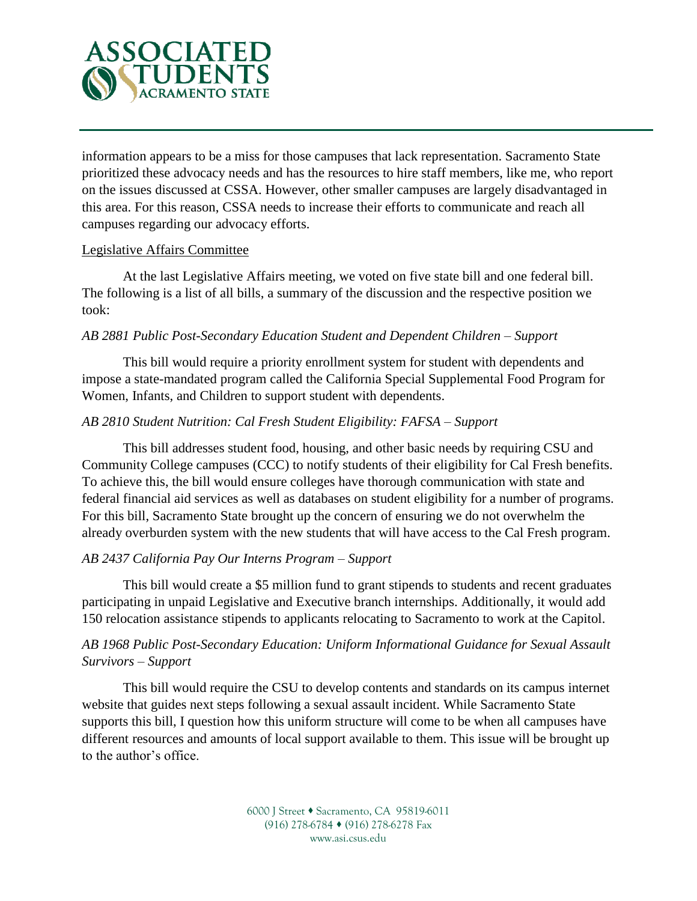

information appears to be a miss for those campuses that lack representation. Sacramento State prioritized these advocacy needs and has the resources to hire staff members, like me, who report on the issues discussed at CSSA. However, other smaller campuses are largely disadvantaged in this area. For this reason, CSSA needs to increase their efforts to communicate and reach all campuses regarding our advocacy efforts.

### Legislative Affairs Committee

At the last Legislative Affairs meeting, we voted on five state bill and one federal bill. The following is a list of all bills, a summary of the discussion and the respective position we took:

### *AB 2881 Public Post-Secondary Education Student and Dependent Children – Support*

This bill would require a priority enrollment system for student with dependents and impose a state-mandated program called the California Special Supplemental Food Program for Women, Infants, and Children to support student with dependents.

# *AB 2810 Student Nutrition: Cal Fresh Student Eligibility: FAFSA – Support*

This bill addresses student food, housing, and other basic needs by requiring CSU and Community College campuses (CCC) to notify students of their eligibility for Cal Fresh benefits. To achieve this, the bill would ensure colleges have thorough communication with state and federal financial aid services as well as databases on student eligibility for a number of programs. For this bill, Sacramento State brought up the concern of ensuring we do not overwhelm the already overburden system with the new students that will have access to the Cal Fresh program.

# *AB 2437 California Pay Our Interns Program – Support*

This bill would create a \$5 million fund to grant stipends to students and recent graduates participating in unpaid Legislative and Executive branch internships. Additionally, it would add 150 relocation assistance stipends to applicants relocating to Sacramento to work at the Capitol.

# *AB 1968 Public Post-Secondary Education: Uniform Informational Guidance for Sexual Assault Survivors – Support*

This bill would require the CSU to develop contents and standards on its campus internet website that guides next steps following a sexual assault incident. While Sacramento State supports this bill, I question how this uniform structure will come to be when all campuses have different resources and amounts of local support available to them. This issue will be brought up to the author's office.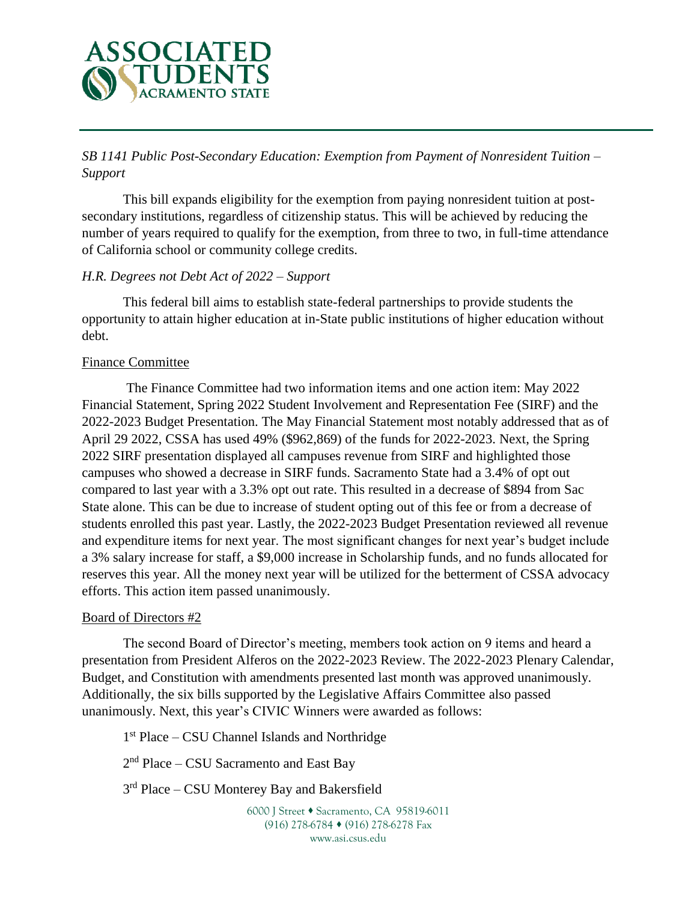

*SB 1141 Public Post-Secondary Education: Exemption from Payment of Nonresident Tuition – Support* 

This bill expands eligibility for the exemption from paying nonresident tuition at postsecondary institutions, regardless of citizenship status. This will be achieved by reducing the number of years required to qualify for the exemption, from three to two, in full-time attendance of California school or community college credits.

# *H.R. Degrees not Debt Act of 2022 – Support*

This federal bill aims to establish state-federal partnerships to provide students the opportunity to attain higher education at in-State public institutions of higher education without debt.

### Finance Committee

The Finance Committee had two information items and one action item: May 2022 Financial Statement, Spring 2022 Student Involvement and Representation Fee (SIRF) and the 2022-2023 Budget Presentation. The May Financial Statement most notably addressed that as of April 29 2022, CSSA has used 49% (\$962,869) of the funds for 2022-2023. Next, the Spring 2022 SIRF presentation displayed all campuses revenue from SIRF and highlighted those campuses who showed a decrease in SIRF funds. Sacramento State had a 3.4% of opt out compared to last year with a 3.3% opt out rate. This resulted in a decrease of \$894 from Sac State alone. This can be due to increase of student opting out of this fee or from a decrease of students enrolled this past year. Lastly, the 2022-2023 Budget Presentation reviewed all revenue and expenditure items for next year. The most significant changes for next year's budget include a 3% salary increase for staff, a \$9,000 increase in Scholarship funds, and no funds allocated for reserves this year. All the money next year will be utilized for the betterment of CSSA advocacy efforts. This action item passed unanimously.

### Board of Directors #2

The second Board of Director's meeting, members took action on 9 items and heard a presentation from President Alferos on the 2022-2023 Review. The 2022-2023 Plenary Calendar, Budget, and Constitution with amendments presented last month was approved unanimously. Additionally, the six bills supported by the Legislative Affairs Committee also passed unanimously. Next, this year's CIVIC Winners were awarded as follows:

1 st Place – CSU Channel Islands and Northridge

2<sup>nd</sup> Place – CSU Sacramento and East Bay

3<sup>rd</sup> Place – CSU Monterey Bay and Bakersfield

6000 J Street • Sacramento, CA 95819-6011 (916) 278-6784 (916) 278-6278 Fax www.asi.csus.edu